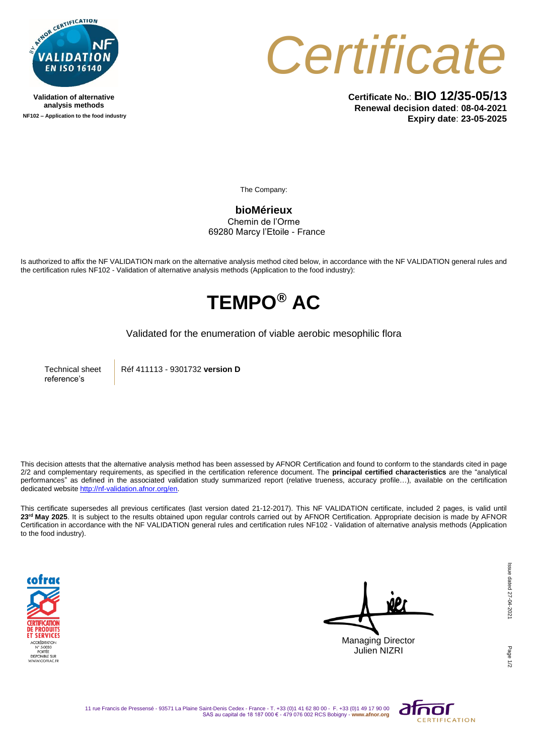

**Validation of alternative analysis methods NF102 – Application to the food industry**



**Certificate No.**: **BIO 12/35-05/13 Renewal decision dated**: **08-04-2021 Expiry date**: **23-05-2025**

The Company:

**bioMérieux** Chemin de l'Orme 69280 Marcy l'Etoile - France

Is authorized to affix the NF VALIDATION mark on the alternative analysis method cited below, in accordance with the NF VALIDATION general rules and the certification rules NF102 - Validation of alternative analysis methods (Application to the food industry):

## **TEMPO® AC**

Validated for the enumeration of viable aerobic mesophilic flora

Technical sheet reference's

Réf 411113 - 9301732 **version D** 

This decision attests that the alternative analysis method has been assessed by AFNOR Certification and found to conform to the standards cited in page 2/2 and complementary requirements, as specified in the certification reference document. The **principal certified characteristics** are the "analytical performances" as defined in the associated validation study summarized report (relative trueness, accuracy profile…), available on the certification dedicated websit[e http://nf-validation.afnor.org/en.](http://nf-validation.afnor.org/en)

This certificate supersedes all previous certificates (last version dated 21-12-2017). This NF VALIDATION certificate, included 2 pages, is valid until **23rd May 2025**. It is subject to the results obtained upon regular controls carried out by AFNOR Certification. Appropriate decision is made by AFNOR Certification in accordance with the NF VALIDATION general rules and certification rules NF102 - Validation of alternative analysis methods (Application to the food industry).



Managing Director Julien NIZRI

Page